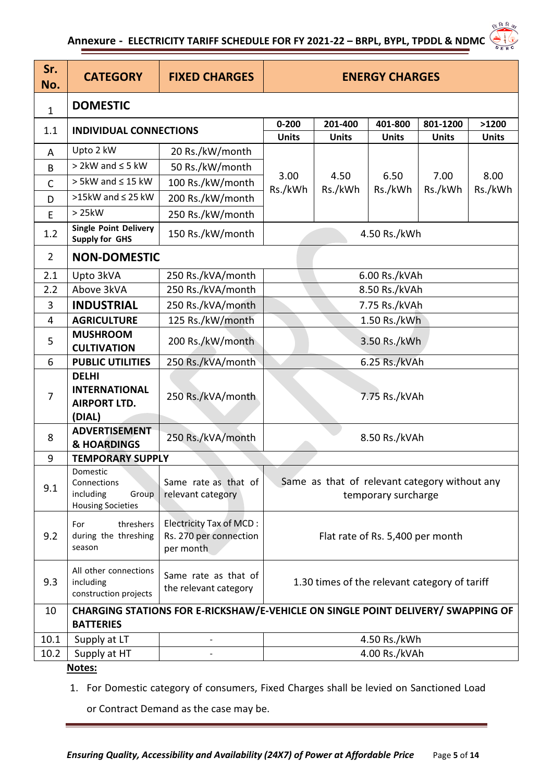## **Annexure - ELECTRICITY TARIFF SCHEDULE FOR FY 2021-22 – BRPL, BYPL, TPDDL & NDMC**

| Sr.<br>No.     | <b>CATEGORY</b>                                                                                      | <b>FIXED CHARGES</b>                                                  | <b>ENERGY CHARGES</b>                                                |                         |                         |                          |                       |  |  |
|----------------|------------------------------------------------------------------------------------------------------|-----------------------------------------------------------------------|----------------------------------------------------------------------|-------------------------|-------------------------|--------------------------|-----------------------|--|--|
| $\mathbf{1}$   | <b>DOMESTIC</b>                                                                                      |                                                                       |                                                                      |                         |                         |                          |                       |  |  |
| 1.1            | <b>INDIVIDUAL CONNECTIONS</b>                                                                        |                                                                       | $0 - 200$<br><b>Units</b>                                            | 201-400<br><b>Units</b> | 401-800<br><b>Units</b> | 801-1200<br><b>Units</b> | >1200<br><b>Units</b> |  |  |
| A              | Upto 2 kW                                                                                            | 20 Rs./kW/month                                                       |                                                                      |                         |                         |                          |                       |  |  |
| B              | $>$ 2kW and $\leq$ 5 kW                                                                              | 50 Rs./kW/month                                                       |                                                                      | 4.50<br>Rs./kWh         | 6.50<br>Rs./kWh         | 7.00<br>Rs./kWh          | 8.00<br>Rs./kWh       |  |  |
| $\mathsf{C}$   | $> 5$ kW and $\leq 15$ kW                                                                            | 100 Rs./kW/month                                                      | 3.00                                                                 |                         |                         |                          |                       |  |  |
| D              | >15kW and $\leq$ 25 kW                                                                               | 200 Rs./kW/month                                                      | Rs./kWh                                                              |                         |                         |                          |                       |  |  |
| E              | >25kW                                                                                                | 250 Rs./kW/month                                                      |                                                                      |                         |                         |                          |                       |  |  |
| 1.2            | <b>Single Point Delivery</b><br><b>Supply for GHS</b>                                                | 150 Rs./kW/month                                                      | 4.50 Rs./kWh                                                         |                         |                         |                          |                       |  |  |
| $\overline{2}$ | <b>NON-DOMESTIC</b>                                                                                  |                                                                       |                                                                      |                         |                         |                          |                       |  |  |
| 2.1            | Upto 3kVA                                                                                            | 250 Rs./kVA/month                                                     | 6.00 Rs./kVAh                                                        |                         |                         |                          |                       |  |  |
| 2.2            | Above 3kVA                                                                                           | 250 Rs./kVA/month                                                     | 8.50 Rs./kVAh                                                        |                         |                         |                          |                       |  |  |
| 3              | <b>INDUSTRIAL</b>                                                                                    | 250 Rs./kVA/month                                                     | 7.75 Rs./kVAh                                                        |                         |                         |                          |                       |  |  |
| 4              | <b>AGRICULTURE</b>                                                                                   | 125 Rs./kW/month                                                      | 1.50 Rs./kWh                                                         |                         |                         |                          |                       |  |  |
| 5              | <b>MUSHROOM</b><br><b>CULTIVATION</b>                                                                | 200 Rs./kW/month                                                      | 3.50 Rs./kWh                                                         |                         |                         |                          |                       |  |  |
| 6              | <b>PUBLIC UTILITIES</b>                                                                              | 250 Rs./kVA/month                                                     | 6.25 Rs./kVAh                                                        |                         |                         |                          |                       |  |  |
| $\overline{7}$ | <b>DELHI</b><br><b>INTERNATIONAL</b><br><b>AIRPORT LTD.</b><br>(DIAL)                                | 250 Rs./kVA/month                                                     | 7.75 Rs./kVAh                                                        |                         |                         |                          |                       |  |  |
| 8              | <b>ADVERTISEMENT</b><br><b>&amp; HOARDINGS</b>                                                       | 250 Rs./kVA/month                                                     | 8.50 Rs./kVAh                                                        |                         |                         |                          |                       |  |  |
| 9              | <b>TEMPORARY SUPPLY</b>                                                                              |                                                                       |                                                                      |                         |                         |                          |                       |  |  |
| 9.1            | Domestic<br>Connections<br>including<br>Group<br><b>Housing Societies</b>                            | Same rate as that of<br>relevant category                             | Same as that of relevant category without any<br>temporary surcharge |                         |                         |                          |                       |  |  |
| 9.2            | threshers<br>For<br>during the threshing<br>season                                                   | <b>Electricity Tax of MCD:</b><br>Rs. 270 per connection<br>per month | Flat rate of Rs. 5,400 per month                                     |                         |                         |                          |                       |  |  |
| 9.3            | All other connections<br>including<br>construction projects                                          | Same rate as that of<br>the relevant category                         | 1.30 times of the relevant category of tariff                        |                         |                         |                          |                       |  |  |
| 10             | CHARGING STATIONS FOR E-RICKSHAW/E-VEHICLE ON SINGLE POINT DELIVERY/ SWAPPING OF<br><b>BATTERIES</b> |                                                                       |                                                                      |                         |                         |                          |                       |  |  |
| 10.1           | Supply at LT                                                                                         |                                                                       | 4.50 Rs./kWh                                                         |                         |                         |                          |                       |  |  |
| 10.2           | Supply at HT                                                                                         |                                                                       | 4.00 Rs./kVAh                                                        |                         |                         |                          |                       |  |  |
|                | Notes:                                                                                               |                                                                       |                                                                      |                         |                         |                          |                       |  |  |

1. For Domestic category of consumers, Fixed Charges shall be levied on Sanctioned Load

or Contract Demand as the case may be.

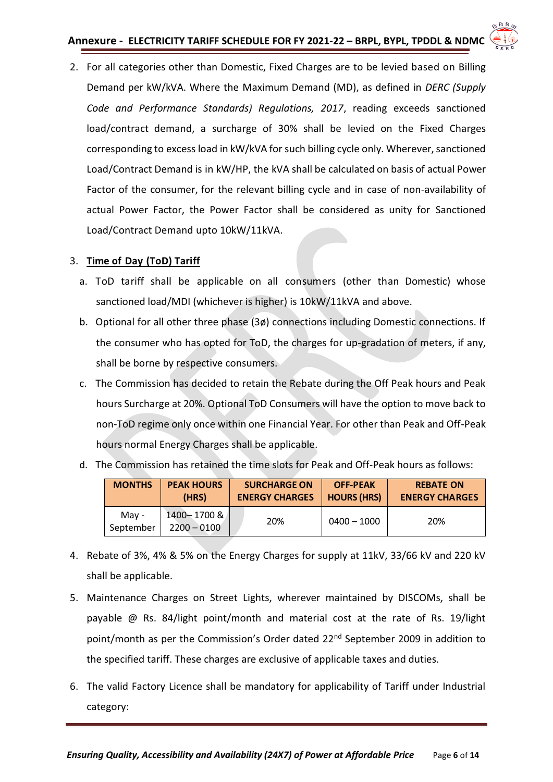

2. For all categories other than Domestic, Fixed Charges are to be levied based on Billing Demand per kW/kVA. Where the Maximum Demand (MD), as defined in *DERC (Supply Code and Performance Standards) Regulations, 2017*, reading exceeds sanctioned load/contract demand, a surcharge of 30% shall be levied on the Fixed Charges corresponding to excess load in kW/kVA for such billing cycle only. Wherever, sanctioned Load/Contract Demand is in kW/HP, the kVA shall be calculated on basis of actual Power Factor of the consumer, for the relevant billing cycle and in case of non-availability of actual Power Factor, the Power Factor shall be considered as unity for Sanctioned Load/Contract Demand upto 10kW/11kVA.

## 3. **Time of Day (ToD) Tariff**

- a. ToD tariff shall be applicable on all consumers (other than Domestic) whose sanctioned load/MDI (whichever is higher) is 10kW/11kVA and above.
- b. Optional for all other three phase (3ø) connections including Domestic connections. If the consumer who has opted for ToD, the charges for up-gradation of meters, if any, shall be borne by respective consumers.
- c. The Commission has decided to retain the Rebate during the Off Peak hours and Peak hours Surcharge at 20%. Optional ToD Consumers will have the option to move back to non-ToD regime only once within one Financial Year. For other than Peak and Off-Peak hours normal Energy Charges shall be applicable.

| <b>MONTHS</b>      | <b>PEAK HOURS</b><br>(HRS)   | <b>SURCHARGE ON</b><br><b>ENERGY CHARGES</b> | <b>OFF-PEAK</b><br><b>HOURS (HRS)</b> | <b>REBATE ON</b><br><b>ENERGY CHARGES</b> |
|--------------------|------------------------------|----------------------------------------------|---------------------------------------|-------------------------------------------|
| Mav -<br>September | 1400-1700 &<br>$2200 - 0100$ | 20%                                          | $0400 - 1000$                         | 20%                                       |

d. The Commission has retained the time slots for Peak and Off-Peak hours as follows:

- 4. Rebate of 3%, 4% & 5% on the Energy Charges for supply at 11kV, 33/66 kV and 220 kV shall be applicable.
- 5. Maintenance Charges on Street Lights, wherever maintained by DISCOMs, shall be payable @ Rs. 84/light point/month and material cost at the rate of Rs. 19/light point/month as per the Commission's Order dated 22nd September 2009 in addition to the specified tariff. These charges are exclusive of applicable taxes and duties.
- 6. The valid Factory Licence shall be mandatory for applicability of Tariff under Industrial category: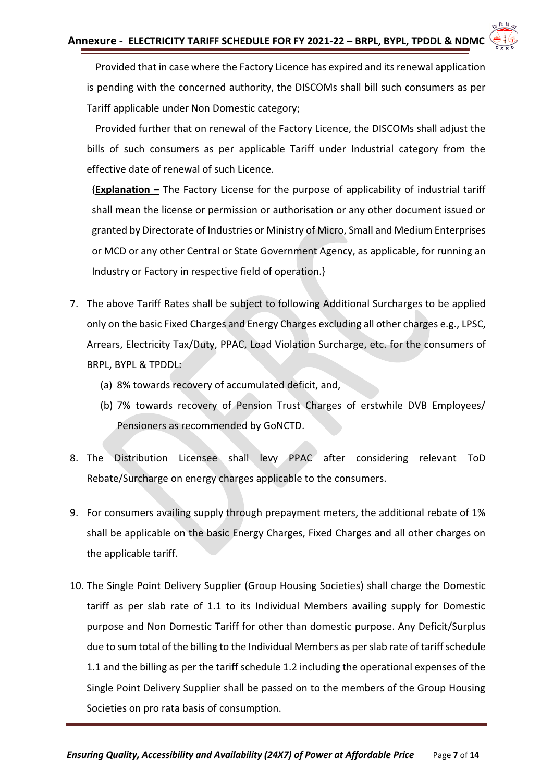

Provided that in case where the Factory Licence has expired and its renewal application is pending with the concerned authority, the DISCOMs shall bill such consumers as per Tariff applicable under Non Domestic category;

 Provided further that on renewal of the Factory Licence, the DISCOMs shall adjust the bills of such consumers as per applicable Tariff under Industrial category from the effective date of renewal of such Licence.

{**Explanation –** The Factory License for the purpose of applicability of industrial tariff shall mean the license or permission or authorisation or any other document issued or granted by Directorate of Industries or Ministry of Micro, Small and Medium Enterprises or MCD or any other Central or State Government Agency, as applicable, for running an Industry or Factory in respective field of operation.}

- 7. The above Tariff Rates shall be subject to following Additional Surcharges to be applied only on the basic Fixed Charges and Energy Charges excluding all other charges e.g., LPSC, Arrears, Electricity Tax/Duty, PPAC, Load Violation Surcharge, etc. for the consumers of BRPL, BYPL & TPDDL:
	- (a) 8% towards recovery of accumulated deficit, and,
	- (b) 7% towards recovery of Pension Trust Charges of erstwhile DVB Employees/ Pensioners as recommended by GoNCTD.
- 8. The Distribution Licensee shall levy PPAC after considering relevant ToD Rebate/Surcharge on energy charges applicable to the consumers.
- 9. For consumers availing supply through prepayment meters, the additional rebate of 1% shall be applicable on the basic Energy Charges, Fixed Charges and all other charges on the applicable tariff.
- 10. The Single Point Delivery Supplier (Group Housing Societies) shall charge the Domestic tariff as per slab rate of 1.1 to its Individual Members availing supply for Domestic purpose and Non Domestic Tariff for other than domestic purpose. Any Deficit/Surplus due to sum total of the billing to the Individual Members as per slab rate of tariff schedule 1.1 and the billing as per the tariff schedule 1.2 including the operational expenses of the Single Point Delivery Supplier shall be passed on to the members of the Group Housing Societies on pro rata basis of consumption.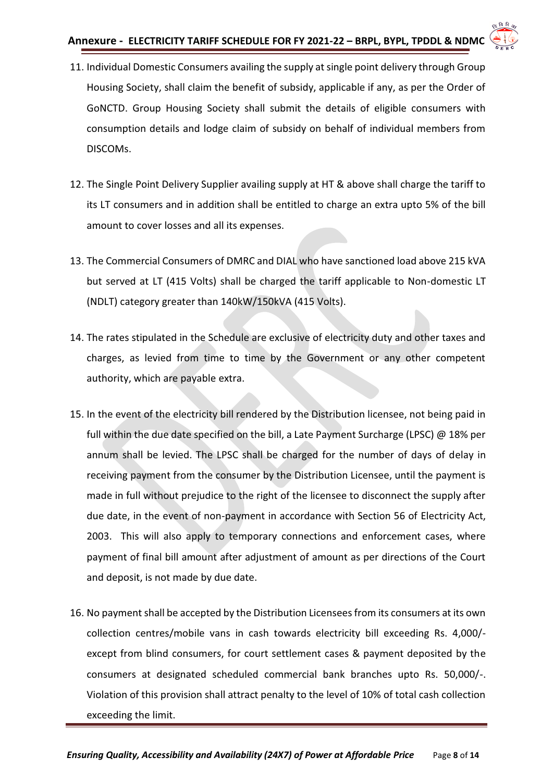

- 11. Individual Domestic Consumers availing the supply at single point delivery through Group Housing Society, shall claim the benefit of subsidy, applicable if any, as per the Order of GoNCTD. Group Housing Society shall submit the details of eligible consumers with consumption details and lodge claim of subsidy on behalf of individual members from DISCOMs.
- 12. The Single Point Delivery Supplier availing supply at HT & above shall charge the tariff to its LT consumers and in addition shall be entitled to charge an extra upto 5% of the bill amount to cover losses and all its expenses.
- 13. The Commercial Consumers of DMRC and DIAL who have sanctioned load above 215 kVA but served at LT (415 Volts) shall be charged the tariff applicable to Non-domestic LT (NDLT) category greater than 140kW/150kVA (415 Volts).
- 14. The rates stipulated in the Schedule are exclusive of electricity duty and other taxes and charges, as levied from time to time by the Government or any other competent authority, which are payable extra.
- 15. In the event of the electricity bill rendered by the Distribution licensee, not being paid in full within the due date specified on the bill, a Late Payment Surcharge (LPSC) @ 18% per annum shall be levied. The LPSC shall be charged for the number of days of delay in receiving payment from the consumer by the Distribution Licensee, until the payment is made in full without prejudice to the right of the licensee to disconnect the supply after due date, in the event of non-payment in accordance with Section 56 of Electricity Act, 2003. This will also apply to temporary connections and enforcement cases, where payment of final bill amount after adjustment of amount as per directions of the Court and deposit, is not made by due date.
- 16. No payment shall be accepted by the Distribution Licensees from its consumers at its own collection centres/mobile vans in cash towards electricity bill exceeding Rs. 4,000/ except from blind consumers, for court settlement cases & payment deposited by the consumers at designated scheduled commercial bank branches upto Rs. 50,000/-. Violation of this provision shall attract penalty to the level of 10% of total cash collection exceeding the limit.